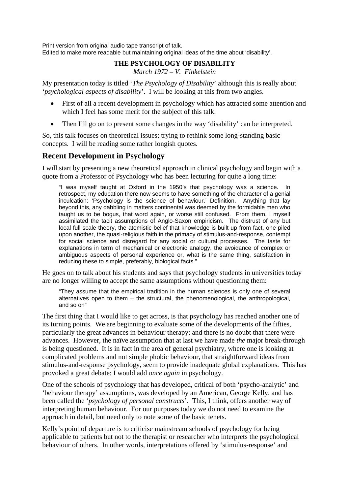Print version from original audio tape transcript of talk. Edited to make more readable but maintaining original ideas of the time about 'disability'.

# **THE PSYCHOLOGY OF DISABILITY**

*March 1972 – V. Finkelstein* 

My presentation today is titled '*The Psychology of Disability*' although this is really about '*psychological aspects of disability*'. I will be looking at this from two angles.

- First of all a recent development in psychology which has attracted some attention and which I feel has some merit for the subject of this talk.
- Then I'll go on to present some changes in the way 'disability' can be interpreted.

So, this talk focuses on theoretical issues; trying to rethink some long-standing basic concepts. I will be reading some rather longish quotes.

# **Recent Development in Psychology**

I will start by presenting a new theoretical approach in clinical psychology and begin with a quote from a Professor of Psychology who has been lecturing for quite a long time:

"I was myself taught at Oxford in the 1950's that psychology was a science. In retrospect, my education there now seems to have something of the character of a genial inculcation: 'Psychology is the science of behaviour.' Definition. Anything that lay beyond this, any dabbling in matters continental was deemed by the formidable men who taught us to be bogus, that word again, or worse still confused. From them, I myself assimilated the tacit assumptions of Anglo-Saxon empiricism. The distrust of any but local full scale theory, the atomistic belief that knowledge is built up from fact, one piled upon another, the quasi-religious faith in the primacy of stimulus-and-response, contempt for social science and disregard for any social or cultural processes. The taste for explanations in term of mechanical or electronic analogy, the avoidance of complex or ambiguous aspects of personal experience or, what is the same thing, satisfaction in reducing these to simple, preferably, biological facts."

He goes on to talk about his students and says that psychology students in universities today are no longer willing to accept the same assumptions without questioning them:

"They assume that the empirical tradition in the human sciences is only one of several alternatives open to them – the structural, the phenomenological, the anthropological, and so on"

The first thing that I would like to get across, is that psychology has reached another one of its turning points. We are beginning to evaluate some of the developments of the fifties, particularly the great advances in behaviour therapy; and there is no doubt that there were advances. However, the naïve assumption that at last we have made *the* major break-through is being questioned. It is in fact in the area of general psychiatry, where one is looking at complicated problems and not simple phobic behaviour, that straightforward ideas from stimulus-and-response psychology, seem to provide inadequate global explanations. This has provoked a great debate: I would add *once again* in psychology.

One of the schools of psychology that has developed, critical of both 'psycho-analytic' and 'behaviour therapy' assumptions, was developed by an American, George Kelly, and has been called the '*psychology of personal constructs*'. This, I think, offers another way of interpreting human behaviour. For our purposes today we do not need to examine the approach in detail, but need only to note some of the basic tenets.

Kelly's point of departure is to criticise mainstream schools of psychology for being applicable to patients but not to the therapist or researcher who interprets the psychological behaviour of others. In other words, interpretations offered by 'stimulus-response' and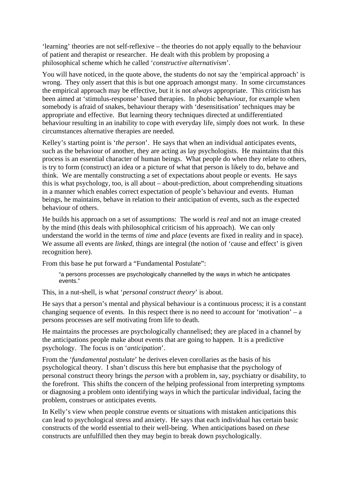'learning' theories are not self-reflexive – the theories do not apply equally to the behaviour of patient and therapist or researcher. He dealt with this problem by proposing a philosophical scheme which he called '*constructive alternativism*'.

You will have noticed, in the quote above, the students do not say the 'empirical approach' is wrong. They only assert that this is but one approach amongst many. In some circumstances the empirical approach may be effective, but it is not *always* appropriate. This criticism has been aimed at 'stimulus-response' based therapies. In phobic behaviour, for example when somebody is afraid of snakes, behaviour therapy with 'desensitisation' techniques may be appropriate and effective. But learning theory techniques directed at undifferentiated behaviour resulting in an inability to cope with everyday life, simply does not work. In these circumstances alternative therapies are needed.

Kelley's starting point is '*the person*'. He says that when an individual anticipates events, such as the behaviour of another, they are acting as lay psychologists. He maintains that this process is an essential character of human beings. What people do when they relate to others, is try to form (construct) an idea or a picture of what that person is likely to do, behave and think. We are mentally constructing a set of expectations about people or events. He says this is what psychology, too, is all about – about-prediction, about comprehending situations in a manner which enables correct expectation of people's behaviour and events. Human beings, he maintains, behave in relation to their anticipation of events, such as the expected behaviour of others.

He builds his approach on a set of assumptions: The world is *real* and not an image created by the mind (this deals with philosophical criticism of his approach). We can only understand the world in the terms of *time* and *place* (events are fixed in reality and in space). We assume all events are *linked*, things are integral (the notion of 'cause and effect' is given recognition here).

From this base he put forward a "Fundamental Postulate":

"a persons processes are psychologically channelled by the ways in which he anticipates events."

This, in a nut-shell, is what '*personal construct theory*' is about.

He says that a person's mental and physical behaviour is a continuous process; it is a constant changing sequence of events. In this respect there is no need to account for 'motivation'  $-a$ persons processes are self motivating from life to death.

He maintains the processes are psychologically channelised; they are placed in a channel by the anticipations people make about events that are going to happen. It is a predictive psychology. The focus is on '*anticipation*'.

From the '*fundamental postulate*' he derives eleven corollaries as the basis of his psychological theory. I shan't discuss this here but emphasise that the psychology of personal construct theory brings the *person* with a problem in, say, psychiatry or disability, to the forefront. This shifts the concern of the helping professional from interpreting symptoms or diagnosing a problem onto identifying ways in which the particular individual, facing the problem, construes or anticipates events.

In Kelly's view when people construe events or situations with mistaken anticipations this can lead to psychological stress and anxiety. He says that each individual has certain basic constructs of the world essential to their well-being. When anticipations based on *these* constructs are unfulfilled then they may begin to break down psychologically.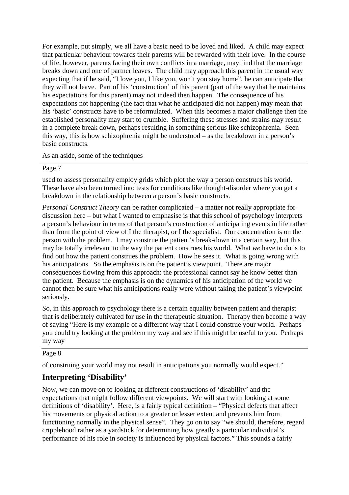For example, put simply, we all have a basic need to be loved and liked. A child may expect that particular behaviour towards their parents will be rewarded with their love. In the course of life, however, parents facing their own conflicts in a marriage, may find that the marriage breaks down and one of partner leaves. The child may approach this parent in the usual way expecting that if he said, "I love you, I like you, won't you stay home", he can anticipate that they will not leave. Part of his 'construction' of this parent (part of the way that he maintains his expectations for this parent) may not indeed then happen. The consequence of his expectations not happening (the fact that what he anticipated did not happen) may mean that his 'basic' constructs have to be reformulated. When this becomes a major challenge then the established personality may start to crumble. Suffering these stresses and strains may result in a complete break down, perhaps resulting in something serious like schizophrenia. Seen this way, this is how schizophrenia might be understood – as the breakdown in a person's basic constructs.

As an aside, some of the techniques

## Page 7

used to assess personality employ grids which plot the way a person construes his world. These have also been turned into tests for conditions like thought-disorder where you get a breakdown in the relationship between a person's basic constructs.

*Personal Construct Theory* can be rather complicated – a matter not really appropriate for discussion here – but what I wanted to emphasise is that this school of psychology interprets a person's behaviour in terms of that person's construction of anticipating events in life rather than from the point of view of I the therapist, or I the specialist. Our concentration is on the person with the problem. I may construe the patient's break-down in a certain way, but this may be totally irrelevant to the way the patient construes his world. What *we* have to do is to find out how the patient construes the problem. How he sees it. What is going wrong with his anticipations. So the emphasis is on the patient's viewpoint. There are major consequences flowing from this approach: the professional cannot say he know better than the patient. Because the emphasis is on the dynamics of his anticipation of the world we cannot then be sure what his anticipations really were without taking the patient's viewpoint seriously.

So, in this approach to psychology there is a certain equality between patient and therapist that is deliberately cultivated for use in the therapeutic situation. Therapy then become a way of saying "Here is my example of a different way that I could construe your world. Perhaps you could try looking at the problem my way and see if this might be useful to you. Perhaps my way

# Page 8

of construing your world may not result in anticipations you normally would expect."

# **Interpreting 'Disability'**

Now, we can move on to looking at different constructions of 'disability' and the expectations that might follow different viewpoints. We will start with looking at some definitions of 'disability'. Here, is a fairly typical definition – "Physical defects that affect his movements or physical action to a greater or lesser extent and prevents him from functioning normally in the physical sense". They go on to say "we should, therefore, regard cripplehood rather as a yardstick for determining how greatly a particular individual's performance of his role in society is influenced by physical factors." This sounds a fairly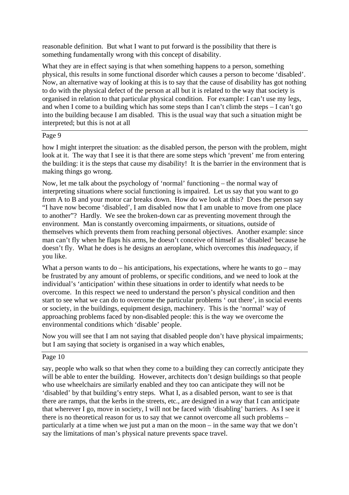reasonable definition. But what I want to put forward is the possibility that there is something fundamentally wrong with this concept of disability.

What they are in effect saying is that when something happens to a person, something physical, this results in some functional disorder which causes a person to become 'disabled'. Now, an alternative way of looking at this is to say that the cause of disability has got nothing to do with the physical defect of the person at all but it is related to the way that society is organised in relation to that particular physical condition. For example: I can't use my legs, and when I come to a building which has some steps than I can't climb the steps – I can't go into the building because I am disabled. This is the usual way that such a situation might be interpreted; but this is not at all

## Page 9

how I might interpret the situation: as the disabled person, the person with the problem, might look at it. The way that I see it is that there are some steps which 'prevent' me from entering the building: it is the steps that cause my disability! It is the barrier in the environment that is making things go wrong.

Now, let me talk about the psychology of 'normal' functioning – the normal way of interpreting situations where social functioning is impaired. Let us say that you want to go from A to B and your motor car breaks down. How do we look at this? Does the person say "I have now become 'disabled', I am disabled now that I am unable to move from one place to another"? Hardly. We see the broken-down car as preventing movement through the environment. Man is constantly overcoming impairments, or situations, outside of themselves which prevents them from reaching personal objectives. Another example: since man can't fly when he flaps his arms, he doesn't conceive of himself as 'disabled' because he doesn't fly. What he does is he designs an aeroplane, which overcomes this *inadequacy*, if you like.

What a person wants to  $do - his$  anticipations, his expectations, where he wants to  $go - may$ be frustrated by any amount of problems, or specific conditions, and we need to look at the individual's 'anticipation' within these situations in order to identify what needs to be overcome. In this respect we need to understand the person's physical condition and then start to see what we can do to overcome the particular problems ' out there', in social events or society, in the buildings, equipment design, machinery. This is the 'normal' way of approaching problems faced by non-disabled people: this is the way we overcome the environmental conditions which 'disable' people.

Now you will see that I am not saying that disabled people don't have physical impairments; but I am saying that society is organised in a way which enables,

## Page 10

say, people who walk so that when they come to a building they can correctly anticipate they will be able to enter the building. However, architects don't design buildings so that people who use wheelchairs are similarly enabled and they too can anticipate they will not be 'disabled' by that building's entry steps. What I, as a disabled person, want to see is that there are ramps, that the kerbs in the streets, etc., are designed in a way that I can anticipate that wherever I go, move in society, I will not be faced with 'disabling' barriers. As I see it there is no theoretical reason for us to say that we cannot overcome all such problems – particularly at a time when we just put a man on the moon – in the same way that we don't say the limitations of man's physical nature prevents space travel.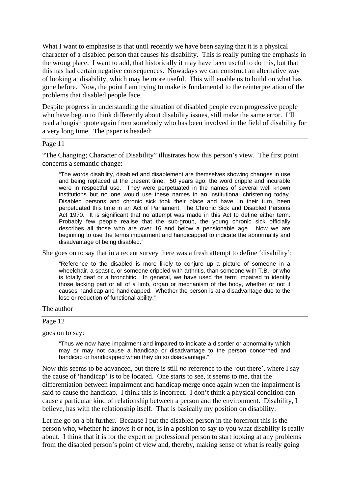What I want to emphasise is that until recently we have been saying that it is a physical character of a disabled person that causes his disability. This is really putting the emphasis in the wrong place. I want to add, that historically it may have been useful to do this, but that this has had certain negative consequences. Nowadays we can construct an alternative way of looking at disability, which may be more useful. This will enable us to build on what has gone before. Now, the point I am trying to make is fundamental to the reinterpretation of the problems that disabled people face.

Despite progress in understanding the situation of disabled people even progressive people who have begun to think differently about disability issues, still make the same error. I'll read a longish quote again from somebody who has been involved in the field of disability for a very long time. The paper is headed:

## Page 11

"The Changing; Character of Disability" illustrates how this person's view. The first point concerns a semantic change:

"The words disability, disabled and disablement are themselves showing changes in use and being replaced at the present time. 50 years ago, the word cripple and incurable were in respectful use. They were perpetuated in the names of several well known institutions but no one would use these names in an institutional christening today. Disabled persons and chronic sick took their place and have, in their turn, been perpetuated this time in an Act of Parliament, The Chronic Sick and Disabled Persons Act 1970. It is significant that no attempt was made in this Act to define either term. Probably few people realise that the sub-group, the young chronic sick officially describes all those who are over 16 and below a pensionable age. Now we are beginning to use the terms impairment and handicapped to indicate the abnormality and disadvantage of being disabled."

She goes on to say that in a recent survey there was a fresh attempt to define 'disability':

"Reference to the disabled is more likely to conjure up a picture of someone in a wheelchair, a spastic, or someone crippled with arthritis, than someone with T.B. or who is totally deaf or a bronchitic. In general, we have used the term impaired to identify those lacking part or all of a limb, organ or mechanism of the body, whether or not it causes handicap and handicapped. Whether the person is at a disadvantage due to the lose or reduction of functional ability."

#### The author

#### Page 12

goes on to say:

"Thus we now have impairment and impaired to indicate a disorder or abnormality which may or may not cause a handicap or disadvantage to the person concerned and handicap or handicapped when they do so disadvantage."

Now this seems to be advanced, but there is still *no* reference to the 'out there', where I say the cause of 'handicap' is to be located. One starts to see, it seems to me, that the differentiation between impairment and handicap merge once again when the impairment is said to cause the handicap. I think this is incorrect. I don't think a physical condition can cause a particular kind of relationship between a person and the environment. Disability, I believe, has with the relationship itself. That is basically my position on disability.

Let me go on a bit further. Because I put the disabled person in the forefront this is the person who, whether he knows it or not, is in a position to say to you what disability is really about. I think that it is for the expert or professional person to start looking at any problems from the disabled person's point of view and, thereby, making sense of what is really going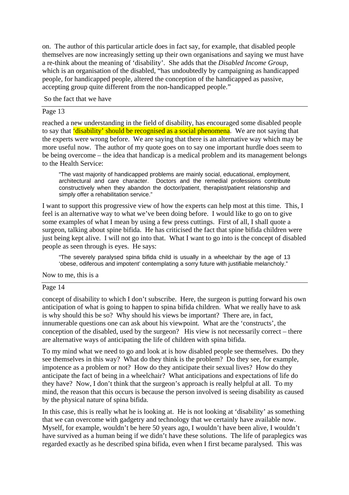on. The author of this particular article does in fact say, for example, that disabled people themselves are now increasingly setting up their own organisations and saying we must have a re-think about the meaning of 'disability'. She adds that the *Disabled Income Group*, which is an organisation of the disabled, "has undoubtedly by campaigning as handicapped people, for handicapped people, altered the conception of the handicapped as passive, accepting group quite different from the non-handicapped people."

So the fact that we have

### Page 13

reached a new understanding in the field of disability, has encouraged some disabled people to say that **'disability' should be recognised as a social phenomena**. We are not saying that the experts were wrong before. We are saying that there is an alternative way which may be more useful now. The author of my quote goes on to say one important hurdle does seem to be being overcome – the idea that handicap is a medical problem and its management belongs to the Health Service:

"The vast majority of handicapped problems are mainly social, educational, employment, architectural and care character. Doctors and the remedial professions contribute constructively when they abandon the doctor/patient, therapist/patient relationship and simply offer a rehabilitation service."

I want to support this progressive view of how the experts can help most at this time. This, I feel is an alternative way to what we've been doing before. I would like to go on to give some examples of what I mean by using a few press cuttings. First of all, I shall quote a surgeon, talking about spine bifida. He has criticised the fact that spine bifida children were just being kept alive. I will not go into that. What I want to go into is the concept of disabled people as seen through is eyes. He says:

"The severely paralysed spina bifida child is usually in a wheelchair by the age of 13 'obese, odiferous and impotent' contemplating a sorry future with justifiable melancholy."

Now to me, this is a

## Page 14

concept of disability to which I don't subscribe. Here, the surgeon is putting forward his own anticipation of what is going to happen to spina bifida children. What we really have to ask is why should this be so? Why should his views be important? There are, in fact, innumerable questions one can ask about his viewpoint. What are the 'constructs', the conception of the disabled, used by the surgeon? His view is not necessarily correct – there are alternative ways of anticipating the life of children with spina bifida.

To my mind what we need to go and look at is how disabled people see themselves. Do they see themselves in this way? What do they think is the problem? Do they see, for example, impotence as a problem or not? How do they anticipate their sexual lives? How do they anticipate the fact of being in a wheelchair? What anticipations and expectations of life do they have? Now, I don't think that the surgeon's approach is really helpful at all. To my mind, the reason that this occurs is because the person involved is seeing disability as caused by the physical nature of spina bifida.

In this case, this is really what he is looking at. He is not looking at 'disability' as something that we can overcome with gadgetry and technology that we certainly have available now. Myself, for example, wouldn't be here 50 years ago, I wouldn't have been alive, I wouldn't have survived as a human being if we didn't have these solutions. The life of paraplegics was regarded exactly as he described spina bifida, even when I first became paralysed. This was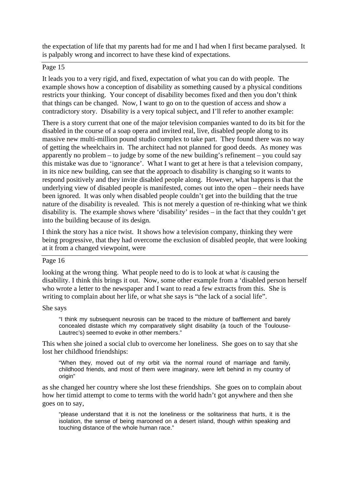the expectation of life that my parents had for me and I had when I first became paralysed. It is palpably wrong and incorrect to have these kind of expectations.

## Page 15

It leads you to a very rigid, and fixed, expectation of what you can do with people. The example shows how a conception of disability as something caused by a physical conditions restricts your thinking. Your concept of disability becomes fixed and then you don't think that things can be changed. Now, I want to go on to the question of access and show a contradictory story. Disability is a very topical subject, and I'll refer to another example:

There is a story current that one of the major television companies wanted to do its bit for the disabled in the course of a soap opera and invited real, live, disabled people along to its massive new multi-million pound studio complex to take part. They found there was no way of getting the wheelchairs in. The architect had not planned for good deeds. As money was apparently no problem – to judge by some of the new building's refinement – you could say this mistake was due to 'ignorance'. What I want to get at here is that a television company, in its nice new building, can see that the approach to disability is changing so it wants to respond positively and they invite disabled people along. However, what happens is that the underlying view of disabled people is manifested, comes out into the open – their needs have been ignored. It was only when disabled people couldn't get into the building that the true nature of the disability is revealed. This is not merely a question of re-thinking what we think disability is. The example shows where 'disability' resides – in the fact that they couldn't get into the building because of its design.

I think the story has a nice twist. It shows how a television company, thinking they were being progressive, that they had overcome the exclusion of disabled people, that were looking at it from a changed viewpoint, were

## Page 16

looking at the wrong thing. What people need to do is to look at what *is* causing the disability. I think this brings it out. Now, some other example from a 'disabled person herself who wrote a letter to the newspaper and I want to read a few extracts from this. She is writing to complain about her life, or what she says is "the lack of a social life".

She says

"I think my subsequent neurosis can be traced to the mixture of bafflement and barely concealed distaste which my comparatively slight disability (a touch of the Toulouse-Lautrec's) seemed to evoke in other members."

This when she joined a social club to overcome her loneliness. She goes on to say that she lost her childhood friendships:

"When they, moved out of my orbit via the normal round of marriage and family, childhood friends, and most of them were imaginary, were left behind in my country of origin"

as she changed her country where she lost these friendships. She goes on to complain about how her timid attempt to come to terms with the world hadn't got anywhere and then she goes on to say,

"please understand that it is not the loneliness or the solitariness that hurts, it is the isolation, the sense of being marooned on a desert island, though within speaking and touching distance of the whole human race."